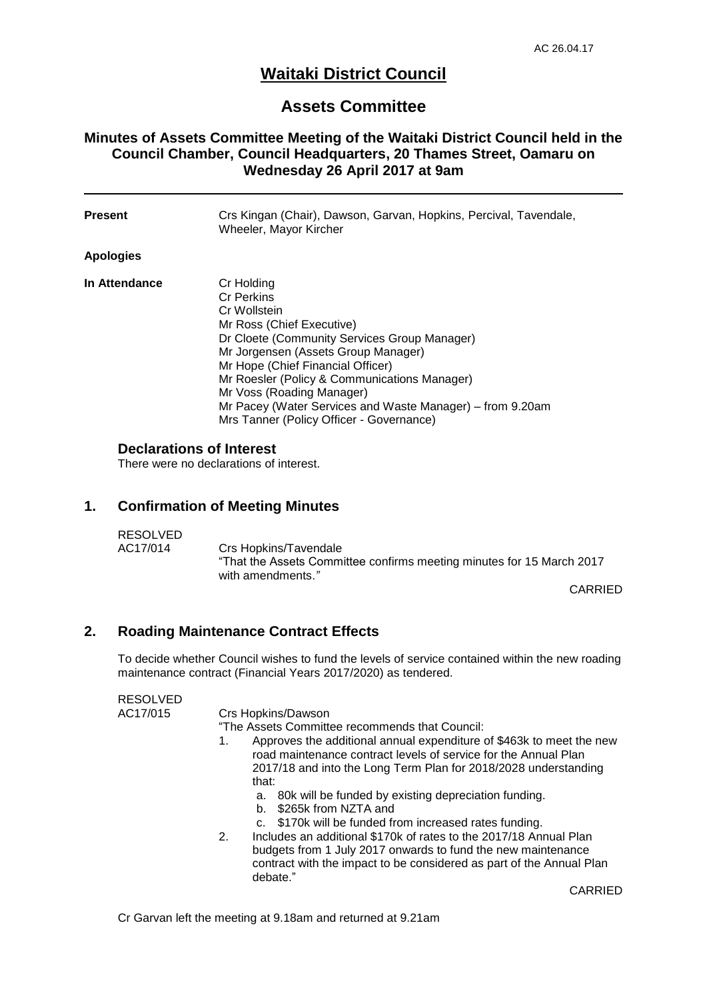# **Waitaki District Council**

## **Assets Committee**

## **Minutes of Assets Committee Meeting of the Waitaki District Council held in the Council Chamber, Council Headquarters, 20 Thames Street, Oamaru on Wednesday 26 April 2017 at 9am**

| <b>Present</b> | Crs Kingan (Chair), Dawson, Garvan, Hopkins, Percival, Tavendale,<br>Wheeler, Mayor Kircher                                                                                                                                                                                                                                                                                                    |
|----------------|------------------------------------------------------------------------------------------------------------------------------------------------------------------------------------------------------------------------------------------------------------------------------------------------------------------------------------------------------------------------------------------------|
| Apologies      |                                                                                                                                                                                                                                                                                                                                                                                                |
| In Attendance  | Cr Holding<br><b>Cr Perkins</b><br>Cr Wollstein<br>Mr Ross (Chief Executive)<br>Dr Cloete (Community Services Group Manager)<br>Mr Jorgensen (Assets Group Manager)<br>Mr Hope (Chief Financial Officer)<br>Mr Roesler (Policy & Communications Manager)<br>Mr Voss (Roading Manager)<br>Mr Pacey (Water Services and Waste Manager) – from 9.20am<br>Mrs Tanner (Policy Officer - Governance) |

## **Declarations of Interest**

There were no declarations of interest.

## **1. Confirmation of Meeting Minutes**

| <b>RESOLVED</b> |                                                                                                                     |
|-----------------|---------------------------------------------------------------------------------------------------------------------|
| AC17/014        | Crs Hopkins/Tavendale<br>"That the Assets Committee confirms meeting minutes for 15 March 2017<br>with amendments." |
|                 |                                                                                                                     |

CARRIED

## **2. Roading Maintenance Contract Effects**

To decide whether Council wishes to fund the levels of service contained within the new roading maintenance contract (Financial Years 2017/2020) as tendered.

#### RESOLVED

AC17/015 Crs Hopkins/Dawson

"The Assets Committee recommends that Council:

- 1. Approves the additional annual expenditure of \$463k to meet the new road maintenance contract levels of service for the Annual Plan 2017/18 and into the Long Term Plan for 2018/2028 understanding that:
	- a. 80k will be funded by existing depreciation funding.
	- b. \$265k from NZTA and
	- c. \$170k will be funded from increased rates funding.
- 2. Includes an additional \$170k of rates to the 2017/18 Annual Plan budgets from 1 July 2017 onwards to fund the new maintenance contract with the impact to be considered as part of the Annual Plan debate."

CARRIED

Cr Garvan left the meeting at 9.18am and returned at 9.21am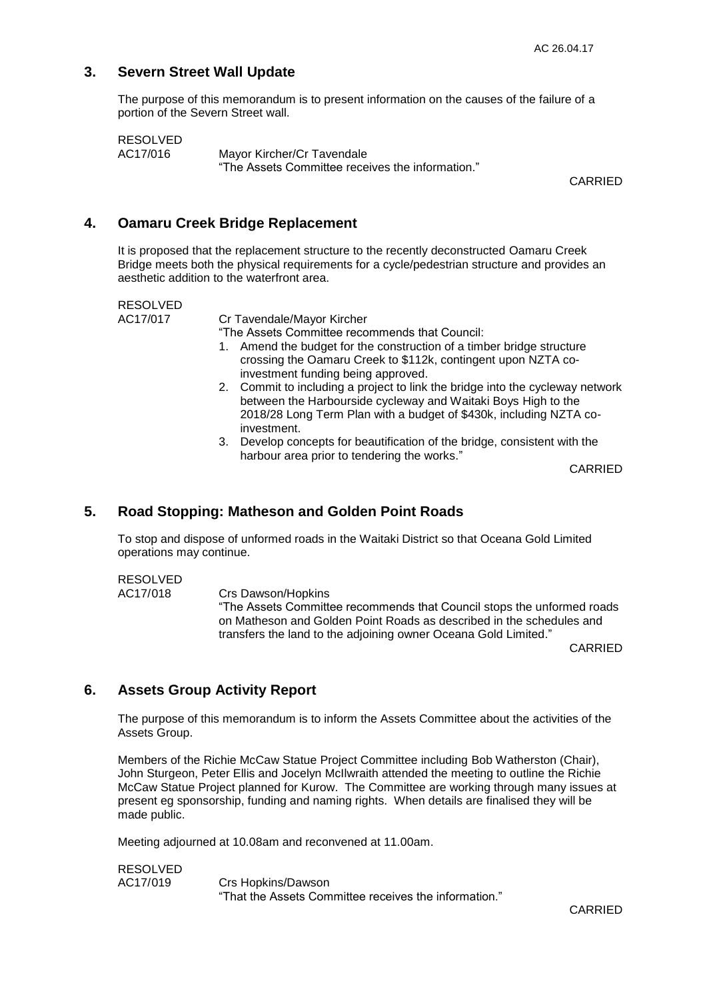## **3. Severn Street Wall Update**

The purpose of this memorandum is to present information on the causes of the failure of a portion of the Severn Street wall.

RESOLVED

AC17/016 Mayor Kircher/Cr Tavendale "The Assets Committee receives the information."

CARRIED

#### **4. Oamaru Creek Bridge Replacement**

It is proposed that the replacement structure to the recently deconstructed Oamaru Creek Bridge meets both the physical requirements for a cycle/pedestrian structure and provides an aesthetic addition to the waterfront area.

RESOLVED

AC17/017 Cr Tavendale/Mayor Kircher

"The Assets Committee recommends that Council:

- 1. Amend the budget for the construction of a timber bridge structure crossing the Oamaru Creek to \$112k, contingent upon NZTA coinvestment funding being approved.
- 2. Commit to including a project to link the bridge into the cycleway network between the Harbourside cycleway and Waitaki Boys High to the 2018/28 Long Term Plan with a budget of \$430k, including NZTA coinvestment.
- 3. Develop concepts for beautification of the bridge, consistent with the harbour area prior to tendering the works."

CARRIED

## **5. Road Stopping: Matheson and Golden Point Roads**

To stop and dispose of unformed roads in the Waitaki District so that Oceana Gold Limited operations may continue.

RESOLVED

AC17/018 Crs Dawson/Hopkins "The Assets Committee recommends that Council stops the unformed roads on Matheson and Golden Point Roads as described in the schedules and transfers the land to the adjoining owner Oceana Gold Limited."

CARRIED

## **6. Assets Group Activity Report**

The purpose of this memorandum is to inform the Assets Committee about the activities of the Assets Group.

Members of the Richie McCaw Statue Project Committee including Bob Watherston (Chair), John Sturgeon, Peter Ellis and Jocelyn McIlwraith attended the meeting to outline the Richie McCaw Statue Project planned for Kurow. The Committee are working through many issues at present eg sponsorship, funding and naming rights. When details are finalised they will be made public.

Meeting adjourned at 10.08am and reconvened at 11.00am.

RESOLVED AC17/019 Crs Hopkins/Dawson "That the Assets Committee receives the information."